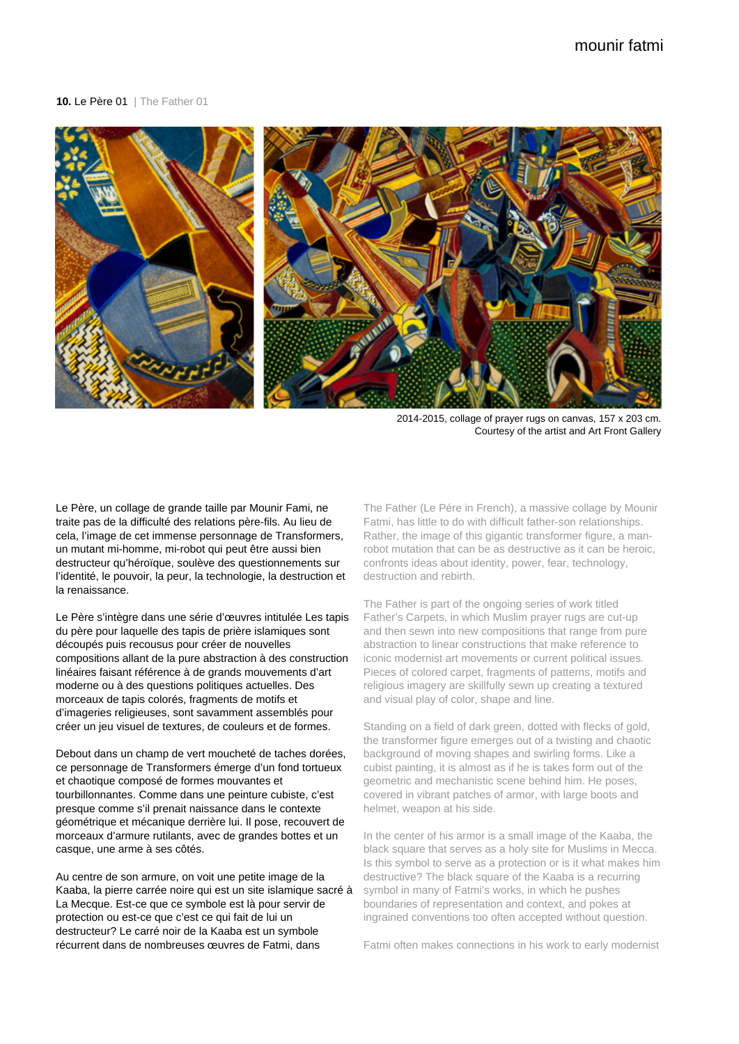## **10. Le Père 01** | The Father 01



2014-2015, collage of prayer rugs on canvas, 157 x 203 cm. Courtesy of the artist and Art Front Gallery

Le Père, un collage de grande taille par Mounir Fami, ne traite pas de la difficulté des relations père-fils. Au lieu de cela, l'image de cet immense personnage de Transformers, un mutant mi-homme, mi-robot qui peut être aussi bien destructeur qu'héroïque, soulève des questionnements sur l'identité, le pouvoir, la peur, la technologie, la destruction et la renaissance.

Le Père s'intègre dans une série d'œuvres intitulée Les tapis du père pour laquelle des tapis de prière islamiques sont découpés puis recousus pour créer de nouvelles compositions allant de la pure abstraction à des construction linéaires faisant référence à de grands mouvements d'art moderne ou à des questions politiques actuelles. Des morceaux de tapis colorés, fragments de motifs et d'imageries religieuses, sont savamment assemblés pour créer un jeu visuel de textures, de couleurs et de formes.

Debout dans un champ de vert moucheté de taches dorées, ce personnage de Transformers émerge d'un fond tortueux et chaotique composé de formes mouvantes et tourbillonnantes. Comme dans une peinture cubiste, c'est presque comme s'il prenait naissance dans le contexte géométrique et mécanique derrière lui. Il pose, recouvert de morceaux d'armure rutilants, avec de grandes bottes et un casque, une arme à ses côtés.

Au centre de son armure, on voit une petite image de la Kaaba, la pierre carrée noire qui est un site islamique sacré à La Mecque. Est-ce que ce symbole est là pour servir de protection ou est-ce que c'est ce qui fait de lui un destructeur? Le carré noir de la Kaaba est un symbole récurrent dans de nombreuses œuvres de Fatmi, dans

The Father (Le Pére in French), a massive collage by Mounir Fatmi, has little to do with difficult father-son relationships. Rather, the image of this gigantic transformer figure, a manrobot mutation that can be as destructive as it can be heroic, confronts ideas about identity, power, fear, technology, destruction and rebirth.

The Father is part of the ongoing series of work titled Father's Carpets, in which Muslim prayer rugs are cut-up and then sewn into new compositions that range from pure abstraction to linear constructions that make reference to iconic modernist art movements or current political issues. Pieces of colored carpet, fragments of patterns, motifs and religious imagery are skillfully sewn up creating a textured and visual play of color, shape and line.

Standing on a field of dark green, dotted with flecks of gold, the transformer figure emerges out of a twisting and chaotic background of moving shapes and swirling forms. Like a cubist painting, it is almost as if he is takes form out of the geometric and mechanistic scene behind him. He poses, covered in vibrant patches of armor, with large boots and helmet, weapon at his side.

In the center of his armor is a small image of the Kaaba, the black square that serves as a holy site for Muslims in Mecca. Is this symbol to serve as a protection or is it what makes him destructive? The black square of the Kaaba is a recurring symbol in many of Fatmi's works, in which he pushes boundaries of representation and context, and pokes at ingrained conventions too often accepted without question.

Fatmi often makes connections in his work to early modernist